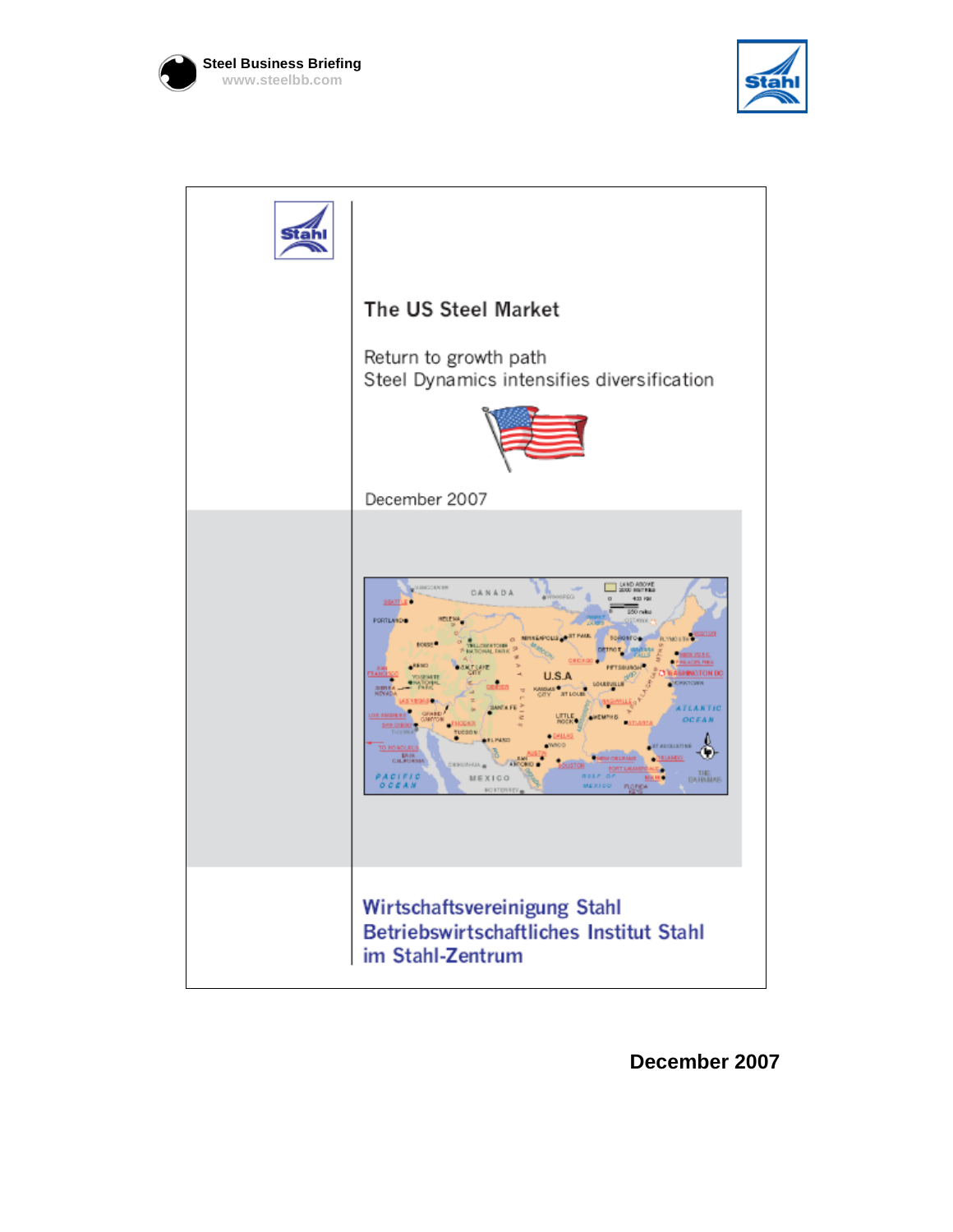





**December 2007**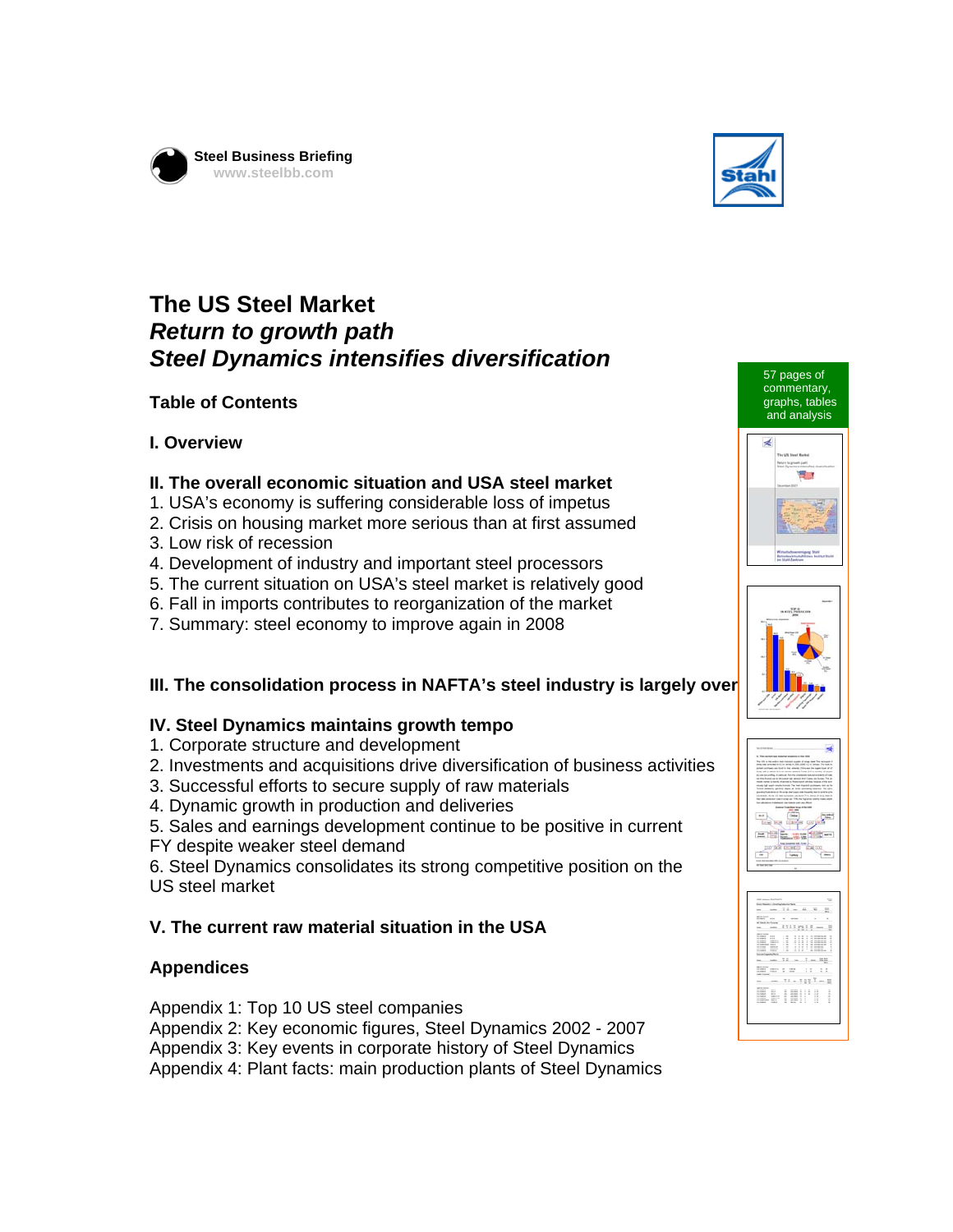



## **The US Steel Market**  *Return to growth path Steel Dynamics intensifies diversification*

#### **Table of Contents**

#### **I. Overview**

#### **II. The overall economic situation and USA steel market**

- 1. USA's economy is suffering considerable loss of impetus
- 2. Crisis on housing market more serious than at first assumed
- 3. Low risk of recession
- 4. Development of industry and important steel processors
- 5. The current situation on USA's steel market is relatively good
- 6. Fall in imports contributes to reorganization of the market
- 7. Summary: steel economy to improve again in 2008

#### **III. The consolidation process in NAFTA's steel industry is largely over**

#### **IV. Steel Dynamics maintains growth tempo**

- 1. Corporate structure and development
- 2. Investments and acquisitions drive diversification of business activities
- 3. Successful efforts to secure supply of raw materials
- 4. Dynamic growth in production and deliveries
- 5. Sales and earnings development continue to be positive in current
- FY despite weaker steel demand

6. Steel Dynamics consolidates its strong competitive position on the US steel market

#### **V. The current raw material situation in the USA**

#### **Appendices**

Appendix 1: Top 10 US steel companies

Appendix 2: Key economic figures, Steel Dynamics 2002 - 2007

Appendix 3: Key events in corporate history of Steel Dynamics

Appendix 4: Plant facts: main production plants of Steel Dynamics









LIBINI